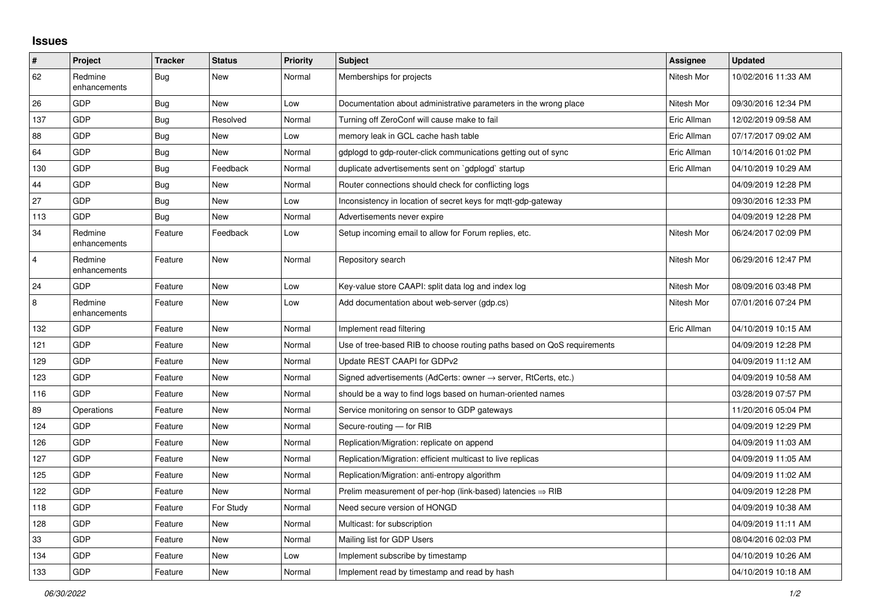## **Issues**

| $\sharp$       | Project                 | <b>Tracker</b> | <b>Status</b> | <b>Priority</b> | <b>Subject</b>                                                             | Assignee    | <b>Updated</b>      |
|----------------|-------------------------|----------------|---------------|-----------------|----------------------------------------------------------------------------|-------------|---------------------|
| 62             | Redmine<br>enhancements | Bug            | <b>New</b>    | Normal          | Memberships for projects                                                   | Nitesh Mor  | 10/02/2016 11:33 AM |
| 26             | <b>GDP</b>              | <b>Bug</b>     | <b>New</b>    | Low             | Documentation about administrative parameters in the wrong place           | Nitesh Mor  | 09/30/2016 12:34 PM |
| 137            | <b>GDP</b>              | <b>Bug</b>     | Resolved      | Normal          | Turning off ZeroConf will cause make to fail                               | Eric Allman | 12/02/2019 09:58 AM |
| 88             | <b>GDP</b>              | Bug            | <b>New</b>    | Low             | memory leak in GCL cache hash table                                        | Eric Allman | 07/17/2017 09:02 AM |
| 64             | <b>GDP</b>              | Bug            | <b>New</b>    | Normal          | gdplogd to gdp-router-click communications getting out of sync             | Eric Allman | 10/14/2016 01:02 PM |
| 130            | <b>GDP</b>              | Bug            | Feedback      | Normal          | duplicate advertisements sent on `gdplogd` startup                         | Eric Allman | 04/10/2019 10:29 AM |
| 44             | <b>GDP</b>              | Bug            | <b>New</b>    | Normal          | Router connections should check for conflicting logs                       |             | 04/09/2019 12:28 PM |
| 27             | <b>GDP</b>              | Bug            | <b>New</b>    | Low             | Inconsistency in location of secret keys for mgtt-gdp-gateway              |             | 09/30/2016 12:33 PM |
| 113            | <b>GDP</b>              | Bug            | <b>New</b>    | Normal          | Advertisements never expire                                                |             | 04/09/2019 12:28 PM |
| 34             | Redmine<br>enhancements | Feature        | Feedback      | Low             | Setup incoming email to allow for Forum replies, etc.                      | Nitesh Mor  | 06/24/2017 02:09 PM |
| $\overline{4}$ | Redmine<br>enhancements | Feature        | <b>New</b>    | Normal          | Repository search                                                          | Nitesh Mor  | 06/29/2016 12:47 PM |
| 24             | <b>GDP</b>              | Feature        | New           | Low             | Key-value store CAAPI: split data log and index log                        | Nitesh Mor  | 08/09/2016 03:48 PM |
| 8              | Redmine<br>enhancements | Feature        | <b>New</b>    | Low             | Add documentation about web-server (gdp.cs)                                | Nitesh Mor  | 07/01/2016 07:24 PM |
| 132            | <b>GDP</b>              | Feature        | <b>New</b>    | Normal          | Implement read filtering                                                   | Eric Allman | 04/10/2019 10:15 AM |
| 121            | <b>GDP</b>              | Feature        | <b>New</b>    | Normal          | Use of tree-based RIB to choose routing paths based on QoS requirements    |             | 04/09/2019 12:28 PM |
| 129            | <b>GDP</b>              | Feature        | <b>New</b>    | Normal          | Update REST CAAPI for GDPv2                                                |             | 04/09/2019 11:12 AM |
| 123            | <b>GDP</b>              | Feature        | <b>New</b>    | Normal          | Signed advertisements (AdCerts: owner $\rightarrow$ server, RtCerts, etc.) |             | 04/09/2019 10:58 AM |
| 116            | <b>GDP</b>              | Feature        | <b>New</b>    | Normal          | should be a way to find logs based on human-oriented names                 |             | 03/28/2019 07:57 PM |
| 89             | Operations              | Feature        | <b>New</b>    | Normal          | Service monitoring on sensor to GDP gateways                               |             | 11/20/2016 05:04 PM |
| 124            | <b>GDP</b>              | Feature        | New           | Normal          | Secure-routing - for RIB                                                   |             | 04/09/2019 12:29 PM |
| 126            | <b>GDP</b>              | Feature        | <b>New</b>    | Normal          | Replication/Migration: replicate on append                                 |             | 04/09/2019 11:03 AM |
| 127            | <b>GDP</b>              | Feature        | <b>New</b>    | Normal          | Replication/Migration: efficient multicast to live replicas                |             | 04/09/2019 11:05 AM |
| 125            | GDP                     | Feature        | <b>New</b>    | Normal          | Replication/Migration: anti-entropy algorithm                              |             | 04/09/2019 11:02 AM |
| 122            | <b>GDP</b>              | Feature        | <b>New</b>    | Normal          | Prelim measurement of per-hop (link-based) latencies $\Rightarrow$ RIB     |             | 04/09/2019 12:28 PM |
| 118            | GDP                     | Feature        | For Study     | Normal          | Need secure version of HONGD                                               |             | 04/09/2019 10:38 AM |
| 128            | <b>GDP</b>              | Feature        | <b>New</b>    | Normal          | Multicast: for subscription                                                |             | 04/09/2019 11:11 AM |
| $33\,$         | <b>GDP</b>              | Feature        | <b>New</b>    | Normal          | Mailing list for GDP Users                                                 |             | 08/04/2016 02:03 PM |
| 134            | <b>GDP</b>              | Feature        | <b>New</b>    | Low             | Implement subscribe by timestamp                                           |             | 04/10/2019 10:26 AM |
| 133            | <b>GDP</b>              | Feature        | New           | Normal          | Implement read by timestamp and read by hash                               |             | 04/10/2019 10:18 AM |